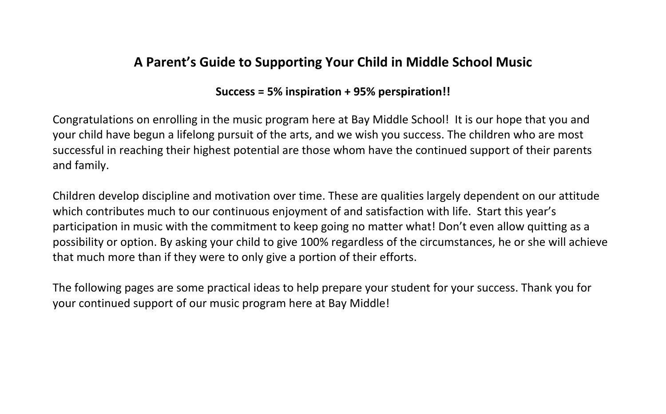## **A Parent's Guide to Supporting Your Child in Middle School Music**

### **Success = 5% inspiration + 95% perspiration!!**

Congratulations on enrolling in the music program here at Bay Middle School! It is our hope that you and your child have begun a lifelong pursuit of the arts, and we wish you success. The children who are most successful in reaching their highest potential are those whom have the continued support of their parents and family.

Children develop discipline and motivation over time. These are qualities largely dependent on our attitude which contributes much to our continuous enjoyment of and satisfaction with life. Start this year's participation in music with the commitment to keep going no matter what! Don't even allow quitting as a possibility or option. By asking your child to give 100% regardless of the circumstances, he or she will achieve that much more than if they were to only give a portion of their efforts.

The following pages are some practical ideas to help prepare your student for your success. Thank you for your continued support of our music program here at Bay Middle!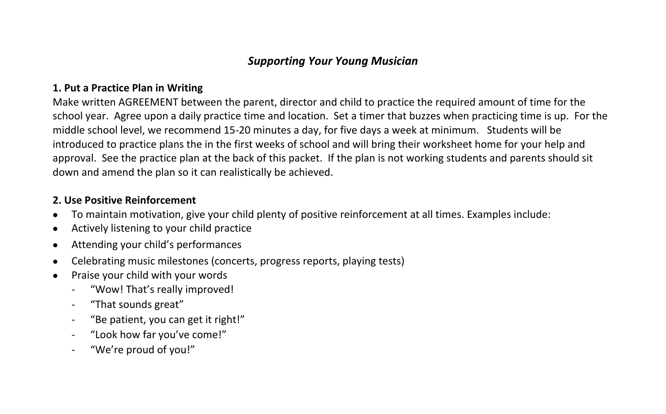### *Supporting Your Young Musician*

#### **1. Put a Practice Plan in Writing**

Make written AGREEMENT between the parent, director and child to practice the required amount of time for the school year. Agree upon a daily practice time and location. Set a timer that buzzes when practicing time is up. For the middle school level, we recommend 15-20 minutes a day, for five days a week at minimum. Students will be introduced to practice plans the in the first weeks of school and will bring their worksheet home for your help and approval. See the practice plan at the back of this packet. If the plan is not working students and parents should sit down and amend the plan so it can realistically be achieved.

#### **2. Use Positive Reinforcement**

- To maintain motivation, give your child plenty of positive reinforcement at all times. Examples include:
- Actively listening to your child practice
- Attending your child's performances
- Celebrating music milestones (concerts, progress reports, playing tests)
- -
	-
- Praise your child with your words<br>
"Wow! That's really improved!<br>
"That sounds great"<br>
"Be patient, you can get it right!"<br>
"Look how far you've come!"<br>
"We're proud of you!"
	-
	-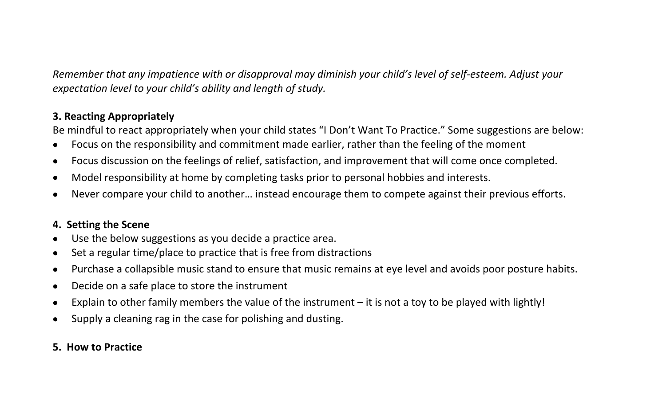*Remember that any impatience with or disapproval may diminish your child's level of self-esteem. Adjust your expectation level to your child's ability and length of study.* 

#### **3. Reacting Appropriately**

Be mindful to react appropriately when your child states "I Don't Want To Practice." Some suggestions are below:

- Focus on the responsibility and commitment made earlier, rather than the feeling of the moment
- Focus discussion on the feelings of relief, satisfaction, and improvement that will come once completed.
- Model responsibility at home by completing tasks prior to personal hobbies and interests.
- Never compare your child to another… instead encourage them to compete against their previous efforts.

#### **4. Setting the Scene**

- Use the below suggestions as you decide a practice area.
- Set a regular time/place to practice that is free from distractions
- Purchase a collapsible music stand to ensure that music remains at eye level and avoids poor posture habits.
- Decide on a safe place to store the instrument
- Explain to other family members the value of the instrument it is not a toy to be played with lightly!
- Supply a cleaning rag in the case for polishing and dusting.

#### **5. How to Practice**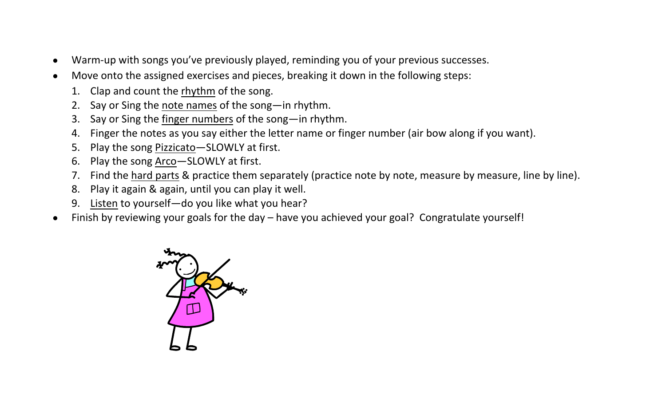- Warm-up with songs you've previously played, reminding you of your previous successes.
- Move onto the assigned exercises and pieces, breaking it down in the following steps:
	- 1. Clap and count the rhythm of the song.
	- 2. Say or Sing the note names of the song—in rhythm.
	- 3. Say or Sing the finger numbers of the song—in rhythm.
	- 4. Finger the notes as you say either the letter name or finger number (air bow along if you want).
	- 5. Play the song Pizzicato—SLOWLY at first.
	- 6. Play the song Arco—SLOWLY at first.
	- 7. Find the hard parts & practice them separately (practice note by note, measure by measure, line by line).
	- 8. Play it again & again, until you can play it well.
	- 9. Listen to yourself—do you like what you hear?
- Finish by reviewing your goals for the day have you achieved your goal? Congratulate yourself!

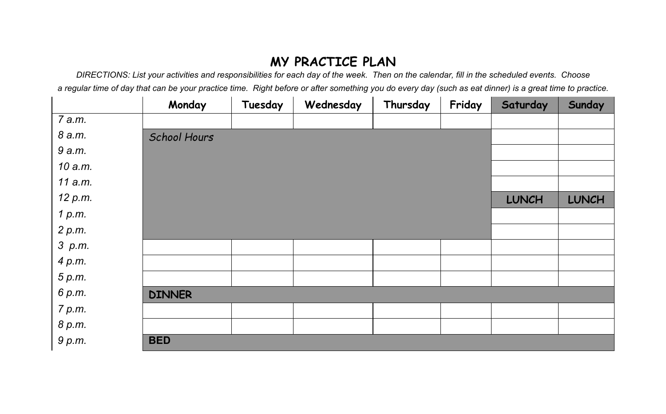# **MY PRACTICE PLAN**

*DIRECTIONS: List your activities and responsibilities for each day of the week. Then on the calendar, fill in the scheduled events. Choose a regular time of day that can be your practice time. Right before or after something you do every day (such as eat dinner) is a great time to practice.*

|         | Monday              | Tuesday | Wednesday | Thursday | Friday | Saturday     | Sunday       |  |  |  |  |
|---------|---------------------|---------|-----------|----------|--------|--------------|--------------|--|--|--|--|
| 7 a.m.  |                     |         |           |          |        |              |              |  |  |  |  |
| 8 a.m.  | <b>School Hours</b> |         |           |          |        |              |              |  |  |  |  |
| 9 a.m.  |                     |         |           |          |        |              |              |  |  |  |  |
| 10 a.m. |                     |         |           |          |        |              |              |  |  |  |  |
| 11 a.m. |                     |         |           |          |        |              |              |  |  |  |  |
| 12 p.m. |                     |         |           |          |        | <b>LUNCH</b> | <b>LUNCH</b> |  |  |  |  |
| 1 p.m.  |                     |         |           |          |        |              |              |  |  |  |  |
| 2 p.m.  |                     |         |           |          |        |              |              |  |  |  |  |
| 3 p.m.  |                     |         |           |          |        |              |              |  |  |  |  |
| 4 p.m.  |                     |         |           |          |        |              |              |  |  |  |  |
| 5 p.m.  |                     |         |           |          |        |              |              |  |  |  |  |
| 6 p.m.  | <b>DINNER</b>       |         |           |          |        |              |              |  |  |  |  |
| 7 p.m.  |                     |         |           |          |        |              |              |  |  |  |  |
| 8 p.m.  |                     |         |           |          |        |              |              |  |  |  |  |
| 9 p.m.  | <b>BED</b>          |         |           |          |        |              |              |  |  |  |  |